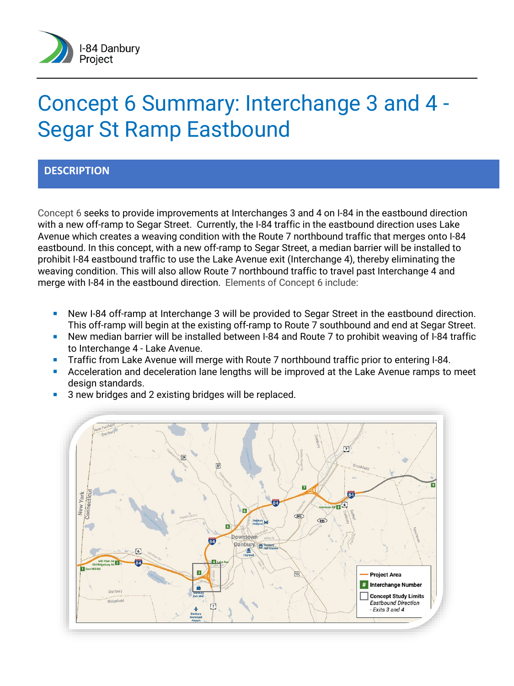

# Concept 6 Summary: Interchange 3 and 4 - Segar St Ramp Eastbound

## **DESCRIPTION**

Concept 6 seeks to provide improvements at Interchanges 3 and 4 on I-84 in the eastbound direction with a new off-ramp to Segar Street. Currently, the I-84 traffic in the eastbound direction uses Lake Avenue which creates a weaving condition with the Route 7 northbound traffic that merges onto I-84 eastbound. In this concept, with a new off-ramp to Segar Street, a median barrier will be installed to prohibit I-84 eastbound traffic to use the Lake Avenue exit (Interchange 4), thereby eliminating the weaving condition. This will also allow Route 7 northbound traffic to travel past Interchange 4 and merge with I-84 in the eastbound direction. Elements of Concept 6 include:

- **New I-84 off-ramp at Interchange 3 will be provided to Segar Street in the eastbound direction.** This off-ramp will begin at the existing off-ramp to Route 7 southbound and end at Segar Street.
- **New median barrier will be installed between I-84 and Route 7 to prohibit weaving of I-84 traffic** to Interchange 4 - Lake Avenue.
- **Traffic from Lake Avenue will merge with Route 7 northbound traffic prior to entering I-84.**
- Acceleration and deceleration lane lengths will be improved at the Lake Avenue ramps to meet design standards.
- **3** new bridges and 2 existing bridges will be replaced.